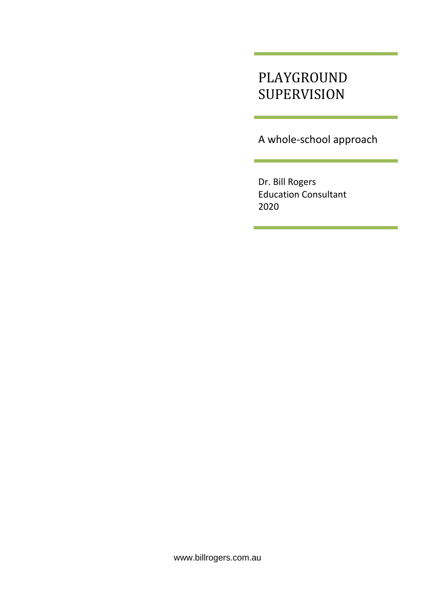# PLAYGROUND SUPERVISION

A whole-school approach

Dr. Bill Rogers Education Consultant 2020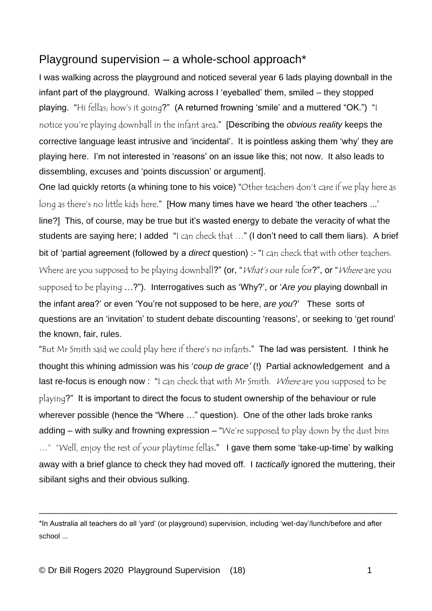## Playground supervision – a whole-school approach\*

I was walking across the playground and noticed several year 6 lads playing downball in the infant part of the playground. Walking across I 'eyeballed' them, smiled – they stopped playing. "Hi fellas; how's it going?" (A returned frowning 'smile' and a muttered "OK.") "I notice you're playing downball in the infant area." [Describing the *obvious reality* keeps the corrective language least intrusive and 'incidental'. It is pointless asking them 'why' they are playing here. I'm not interested in 'reasons' on an issue like this; not now. It also leads to dissembling, excuses and 'points discussion' or argument].

One lad quickly retorts (a whining tone to his voice) "Other teachers don't care if we play here as long as there's no little kids here." [How many times have we heard 'the other teachers ...' line?] This, of course, may be true but it's wasted energy to debate the veracity of what the students are saying here; I added "I can check that ..." (I don't need to call them liars). A brief bit of 'partial agreement (followed by a *direct* question) :- "I can check that with other teachers. Where are you supposed to be playing downball?" (or, "*What's* our rule for?", or "*Where* are you supposed to be playing …?"). Interrogatives such as 'Why?', or '*Are you* playing downball in the infant area?' or even 'You're not supposed to be here, *are you*?' These sorts of questions are an 'invitation' to student debate discounting 'reasons', or seeking to 'get round' the known, fair, rules.

"But Mr Smith said we could play here if there's no infants." The lad was persistent. I think he thought this whining admission was his '*coup de grace'* (!) Partial acknowledgement and a last re-focus is enough now : "I can check that with Mr Smith. Where are you supposed to be playing?" It is important to direct the focus to student ownership of the behaviour or rule wherever possible (hence the "Where …" question). One of the other lads broke ranks adding – with sulky and frowning expression – "We're supposed to play down by the dust bins ..." "Well, enjoy the rest of your playtime fellas." I gave them some 'take-up-time' by walking away with a brief glance to check they had moved off. I *tactically* ignored the muttering, their sibilant sighs and their obvious sulking.

\_\_\_\_\_\_\_\_\_\_\_\_\_\_\_\_\_\_\_\_\_\_\_\_\_\_\_\_\_\_\_\_\_\_\_\_\_\_\_\_\_\_\_\_\_\_\_\_\_\_\_\_\_\_\_\_\_\_\_\_\_\_\_\_\_\_\_\_\_\_\_\_\_\_

<sup>\*</sup>In Australia all teachers do all 'yard' (or playground) supervision, including 'wet-day'/lunch/before and after school ...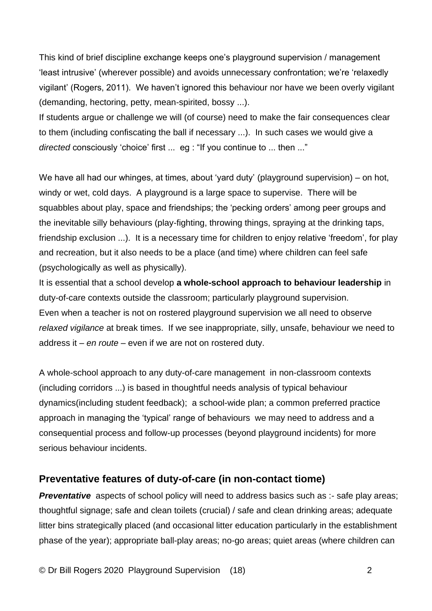This kind of brief discipline exchange keeps one's playground supervision / management 'least intrusive' (wherever possible) and avoids unnecessary confrontation; we're 'relaxedly vigilant' (Rogers, 2011). We haven't ignored this behaviour nor have we been overly vigilant (demanding, hectoring, petty, mean-spirited, bossy ...).

If students argue or challenge we will (of course) need to make the fair consequences clear to them (including confiscating the ball if necessary ...). In such cases we would give a *directed* consciously 'choice' first ... eg : "If you continue to ... then ..."

We have all had our whinges, at times, about 'yard duty' (playground supervision) – on hot, windy or wet, cold days. A playground is a large space to supervise. There will be squabbles about play, space and friendships; the 'pecking orders' among peer groups and the inevitable silly behaviours (play-fighting, throwing things, spraying at the drinking taps, friendship exclusion ...). It is a necessary time for children to enjoy relative 'freedom', for play and recreation, but it also needs to be a place (and time) where children can feel safe (psychologically as well as physically).

It is essential that a school develop **a whole-school approach to behaviour leadership** in duty-of-care contexts outside the classroom; particularly playground supervision. Even when a teacher is not on rostered playground supervision we all need to observe *relaxed vigilance* at break times. If we see inappropriate, silly, unsafe, behaviour we need to address it – *en route –* even if we are not on rostered duty.

A whole-school approach to any duty-of-care management in non-classroom contexts (including corridors ...) is based in thoughtful needs analysis of typical behaviour dynamics(including student feedback); a school-wide plan; a common preferred practice approach in managing the 'typical' range of behaviours we may need to address and a consequential process and follow-up processes (beyond playground incidents) for more serious behaviour incidents.

### **Preventative features of duty-of-care (in non-contact tiome)**

**Preventative** aspects of school policy will need to address basics such as :- safe play areas; thoughtful signage; safe and clean toilets (crucial) / safe and clean drinking areas; adequate litter bins strategically placed (and occasional litter education particularly in the establishment phase of the year); appropriate ball-play areas; no-go areas; quiet areas (where children can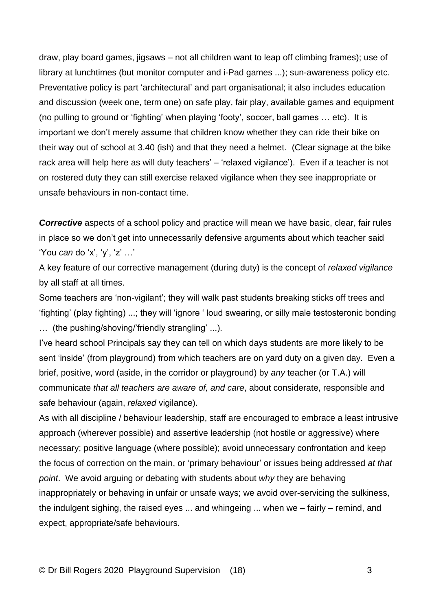draw, play board games, jigsaws – not all children want to leap off climbing frames); use of library at lunchtimes (but monitor computer and i-Pad games ...); sun-awareness policy etc. Preventative policy is part 'architectural' and part organisational; it also includes education and discussion (week one, term one) on safe play, fair play, available games and equipment (no pulling to ground or 'fighting' when playing 'footy', soccer, ball games … etc). It is important we don't merely assume that children know whether they can ride their bike on their way out of school at 3.40 (ish) and that they need a helmet. (Clear signage at the bike rack area will help here as will duty teachers' – 'relaxed vigilance'). Even if a teacher is not on rostered duty they can still exercise relaxed vigilance when they see inappropriate or unsafe behaviours in non-contact time.

*Corrective* aspects of a school policy and practice will mean we have basic, clear, fair rules in place so we don't get into unnecessarily defensive arguments about which teacher said 'You *can* do 'x', 'y', 'z' …'

A key feature of our corrective management (during duty) is the concept of *relaxed vigilance*  by all staff at all times.

Some teachers are 'non-vigilant'; they will walk past students breaking sticks off trees and 'fighting' (play fighting) ...; they will 'ignore ' loud swearing, or silly male testosteronic bonding … (the pushing/shoving/'friendly strangling' ...).

I've heard school Principals say they can tell on which days students are more likely to be sent 'inside' (from playground) from which teachers are on yard duty on a given day. Even a brief, positive, word (aside, in the corridor or playground) by *any* teacher (or T.A.) will communicate *that all teachers are aware of, and care*, about considerate, responsible and safe behaviour (again, *relaxed* vigilance).

As with all discipline / behaviour leadership, staff are encouraged to embrace a least intrusive approach (wherever possible) and assertive leadership (not hostile or aggressive) where necessary; positive language (where possible); avoid unnecessary confrontation and keep the focus of correction on the main, or 'primary behaviour' or issues being addressed *at that point*. We avoid arguing or debating with students about *why* they are behaving inappropriately or behaving in unfair or unsafe ways; we avoid over-servicing the sulkiness, the indulgent sighing, the raised eyes ... and whingeing ... when we – fairly – remind, and expect, appropriate/safe behaviours.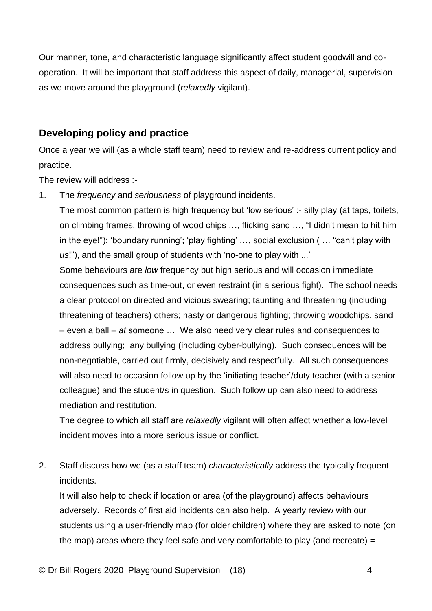Our manner, tone, and characteristic language significantly affect student goodwill and cooperation. It will be important that staff address this aspect of daily, managerial, supervision as we move around the playground (*relaxedly* vigilant).

#### **Developing policy and practice**

Once a year we will (as a whole staff team) need to review and re-address current policy and practice.

The review will address :-

1. The *frequency* and *seriousness* of playground incidents.

The most common pattern is high frequency but 'low serious' :- silly play (at taps, toilets, on climbing frames, throwing of wood chips …, flicking sand …, "I didn't mean to hit him in the eye!"); 'boundary running'; 'play fighting' …, social exclusion ( … "can't play with *us*!"), and the small group of students with 'no-one to play with ...'

Some behaviours are *low* frequency but high serious and will occasion immediate consequences such as time-out, or even restraint (in a serious fight). The school needs a clear protocol on directed and vicious swearing; taunting and threatening (including threatening of teachers) others; nasty or dangerous fighting; throwing woodchips, sand – even a ball – *at* someone … We also need very clear rules and consequences to address bullying; any bullying (including cyber-bullying). Such consequences will be non-negotiable, carried out firmly, decisively and respectfully. All such consequences will also need to occasion follow up by the 'initiating teacher'/duty teacher (with a senior colleague) and the student/s in question. Such follow up can also need to address mediation and restitution.

The degree to which all staff are *relaxedly* vigilant will often affect whether a low-level incident moves into a more serious issue or conflict.

2. Staff discuss how we (as a staff team) *characteristically* address the typically frequent incidents.

It will also help to check if location or area (of the playground) affects behaviours adversely. Records of first aid incidents can also help. A yearly review with our students using a user-friendly map (for older children) where they are asked to note (on the map) areas where they feel safe and very comfortable to play (and recreate) =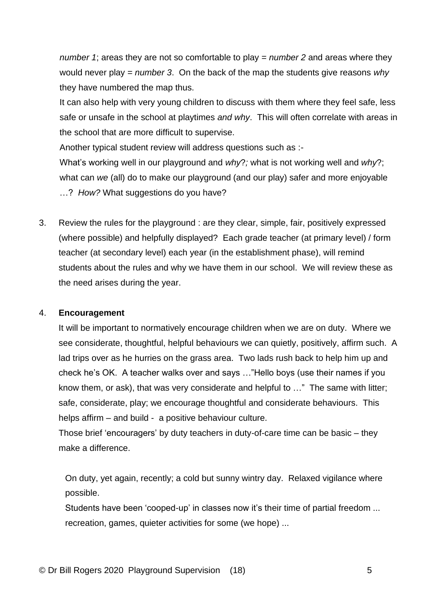*number 1*; areas they are not so comfortable to play = *number 2* and areas where they would never play = *number 3*. On the back of the map the students give reasons *why* they have numbered the map thus.

It can also help with very young children to discuss with them where they feel safe, less safe or unsafe in the school at playtimes *and why*. This will often correlate with areas in the school that are more difficult to supervise.

Another typical student review will address questions such as :-

What's working well in our playground and *why*?*;* what is not working well and *why*?; what can *we* (all) do to make our playground (and our play) safer and more enjoyable …? *How?* What suggestions do you have?

3. Review the rules for the playground : are they clear, simple, fair, positively expressed (where possible) and helpfully displayed? Each grade teacher (at primary level) / form teacher (at secondary level) each year (in the establishment phase), will remind students about the rules and why we have them in our school. We will review these as the need arises during the year.

#### 4. **Encouragement**

It will be important to normatively encourage children when we are on duty. Where we see considerate, thoughtful, helpful behaviours we can quietly, positively, affirm such. A lad trips over as he hurries on the grass area. Two lads rush back to help him up and check he's OK. A teacher walks over and says …"Hello boys (use their names if you know them, or ask), that was very considerate and helpful to …" The same with litter; safe, considerate, play; we encourage thoughtful and considerate behaviours. This helps affirm – and build - a positive behaviour culture.

Those brief 'encouragers' by duty teachers in duty-of-care time can be basic – they make a difference.

On duty, yet again, recently; a cold but sunny wintry day. Relaxed vigilance where possible.

Students have been 'cooped-up' in classes now it's their time of partial freedom ... recreation, games, quieter activities for some (we hope) ...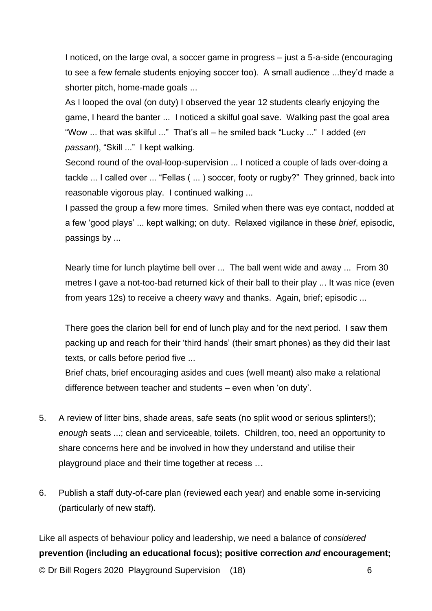I noticed, on the large oval, a soccer game in progress – just a 5-a-side (encouraging to see a few female students enjoying soccer too). A small audience ...they'd made a shorter pitch, home-made goals ...

As I looped the oval (on duty) I observed the year 12 students clearly enjoying the game, I heard the banter ... I noticed a skilful goal save. Walking past the goal area "Wow ... that was skilful ..." That's all – he smiled back "Lucky ..." I added (*en passant*), "Skill ..." I kept walking.

Second round of the oval-loop-supervision ... I noticed a couple of lads over-doing a tackle ... I called over ... "Fellas ( ... ) soccer, footy or rugby?" They grinned, back into reasonable vigorous play. I continued walking ...

I passed the group a few more times. Smiled when there was eye contact, nodded at a few 'good plays' ... kept walking; on duty. Relaxed vigilance in these *brief*, episodic, passings by ...

Nearly time for lunch playtime bell over ... The ball went wide and away ... From 30 metres I gave a not-too-bad returned kick of their ball to their play ... It was nice (even from years 12s) to receive a cheery wavy and thanks. Again, brief; episodic ...

There goes the clarion bell for end of lunch play and for the next period. I saw them packing up and reach for their 'third hands' (their smart phones) as they did their last texts, or calls before period five ...

Brief chats, brief encouraging asides and cues (well meant) also make a relational difference between teacher and students – even when 'on duty'.

- 5. A review of litter bins, shade areas, safe seats (no split wood or serious splinters!); *enough* seats ...; clean and serviceable, toilets. Children, too, need an opportunity to share concerns here and be involved in how they understand and utilise their playground place and their time together at recess …
- 6. Publish a staff duty-of-care plan (reviewed each year) and enable some in-servicing (particularly of new staff).

© Dr Bill Rogers 2020 Playground Supervision (18) 6 Like all aspects of behaviour policy and leadership, we need a balance of *considered* **prevention (including an educational focus); positive correction** *and* **encouragement;**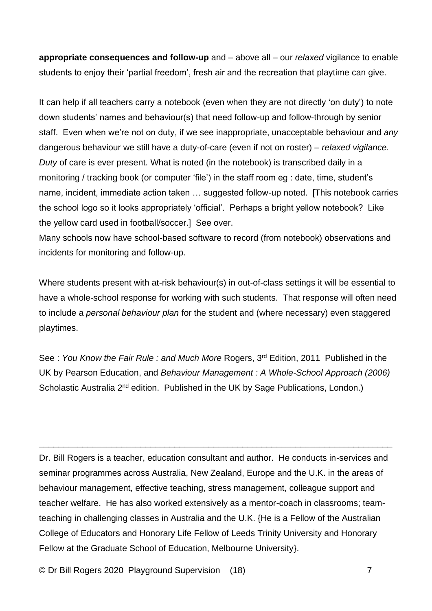**appropriate consequences and follow-up** and – above all – our *relaxed* vigilance to enable students to enjoy their 'partial freedom', fresh air and the recreation that playtime can give.

It can help if all teachers carry a notebook (even when they are not directly 'on duty') to note down students' names and behaviour(s) that need follow-up and follow-through by senior staff. Even when we're not on duty, if we see inappropriate, unacceptable behaviour and *any* dangerous behaviour we still have a duty-of-care (even if not on roster) – *relaxed vigilance. Duty* of care is ever present. What is noted (in the notebook) is transcribed daily in a monitoring / tracking book (or computer 'file') in the staff room eg : date, time, student's name, incident, immediate action taken … suggested follow-up noted. [This notebook carries the school logo so it looks appropriately 'official'. Perhaps a bright yellow notebook? Like the yellow card used in football/soccer.] See over.

Many schools now have school-based software to record (from notebook) observations and incidents for monitoring and follow-up.

Where students present with at-risk behaviour(s) in out-of-class settings it will be essential to have a whole-school response for working with such students. That response will often need to include a *personal behaviour plan* for the student and (where necessary) even staggered playtimes.

See: You Know the Fair Rule: and Much More Rogers, 3<sup>rd</sup> Edition, 2011 Published in the UK by Pearson Education, and *Behaviour Management : A Whole-School Approach (2006)*  Scholastic Australia 2<sup>nd</sup> edition. Published in the UK by Sage Publications, London.)

Dr. Bill Rogers is a teacher, education consultant and author. He conducts in-services and seminar programmes across Australia, New Zealand, Europe and the U.K. in the areas of behaviour management, effective teaching, stress management, colleague support and teacher welfare. He has also worked extensively as a mentor-coach in classrooms; teamteaching in challenging classes in Australia and the U.K. {He is a Fellow of the Australian College of Educators and Honorary Life Fellow of Leeds Trinity University and Honorary Fellow at the Graduate School of Education, Melbourne University}.

\_\_\_\_\_\_\_\_\_\_\_\_\_\_\_\_\_\_\_\_\_\_\_\_\_\_\_\_\_\_\_\_\_\_\_\_\_\_\_\_\_\_\_\_\_\_\_\_\_\_\_\_\_\_\_\_\_\_\_\_\_\_\_\_\_\_\_\_\_\_\_\_\_

© Dr Bill Rogers 2020 Playground Supervision (18) 7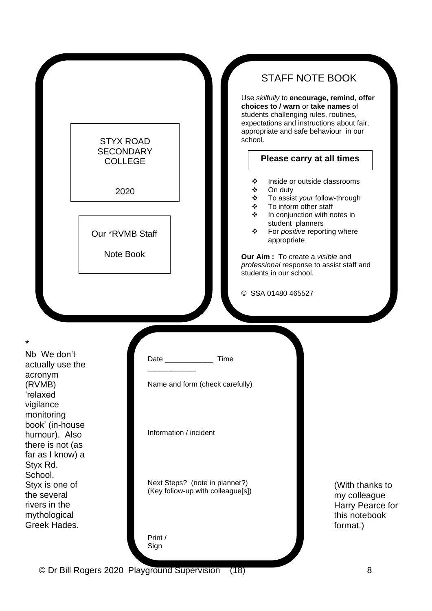|                                                                                                                                                                              | <b>STYX ROAD</b><br><b>SECONDARY</b><br><b>COLLEGE</b><br>2020 |                                                                                                                                           | school.<br>❖<br>On duty<br>❖<br>❖<br>❖<br>❖                                                                               | <b>STAFF NOTE BOOK</b><br>Use skilfully to encourage, remind, offer<br>choices to / warn or take names of<br>students challenging rules, routines,<br>expectations and instructions about fair,<br>appropriate and safe behaviour in our<br>Please carry at all times<br>Inside or outside classrooms<br>To assist your follow-through<br>To inform other staff<br>In conjunction with notes in |
|------------------------------------------------------------------------------------------------------------------------------------------------------------------------------|----------------------------------------------------------------|-------------------------------------------------------------------------------------------------------------------------------------------|---------------------------------------------------------------------------------------------------------------------------|-------------------------------------------------------------------------------------------------------------------------------------------------------------------------------------------------------------------------------------------------------------------------------------------------------------------------------------------------------------------------------------------------|
|                                                                                                                                                                              | Our *RVMB Staff<br>Note Book                                   |                                                                                                                                           | student planners<br>❖<br>appropriate<br>Our Aim: To create a visible and<br>students in our school.<br>© SSA 01480 465527 | For positive reporting where<br>professional response to assist staff and                                                                                                                                                                                                                                                                                                                       |
| *<br>Nb We don't<br>actually use the<br>acronym<br>(RVMB)<br>'relaxed<br>vigilance<br>monitoring<br>book' (in-house<br>humour). Also<br>there is not (as<br>far as I know) a |                                                                | Date and the state of the state of the state of the state of the state of the state of the state of the state o<br>Information / incident | Time<br>Name and form (check carefully)                                                                                   |                                                                                                                                                                                                                                                                                                                                                                                                 |
| Styx Rd.<br>School.<br>Styx is one of<br>the several<br>rivers in the<br>mythological<br>Greek Hades.                                                                        |                                                                | Print /<br>Sign                                                                                                                           | Next Steps? (note in planner?)<br>(Key follow-up with colleague[s])                                                       | (With thanks to<br>my colleague<br>Harry Pearce for<br>this notebook<br>format.)                                                                                                                                                                                                                                                                                                                |